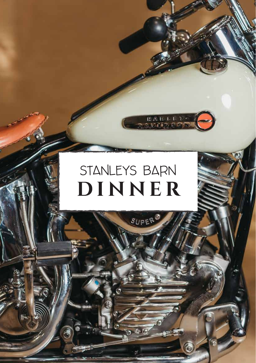# STANLEYS BARN DINNER

G

SUPER

**HARLEY**<br>WIDD SON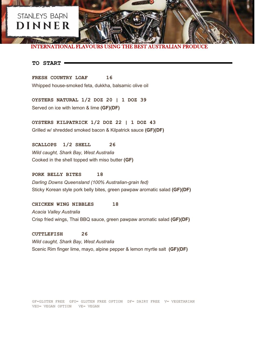## STANLEYS BARN **DINNER**

INTERNATIONAL FLAVOURS USING THE BEST AUSTRALIAN PRODUCE

#### **TO START**

**FRESH COUNTRY LOAF 16**  Whipped house-smoked feta, dukkha, balsamic olive oil

**OYSTERS NATURAL 1/2 DOZ 20 | 1 DOZ 39**  Served on ice with lemon & lime **(GF)(DF)**

**OYSTERS KILPATRICK 1/2 DOZ 22 | 1 DOZ 43**  Grilled w/ shredded smoked bacon & Kilpatrick sauce **(GF)(DF)**

**SCALLOPS 1/2 SHELL 26** *Wild caught, Shark Bay, West Australia* Cooked in the shell topped with miso butter **(GF)**

**PORK BELLY BITES 18** *Darling Downs Queensland (100% Australian-grain fed)* Sticky Korean style pork belly bites, green pawpaw aromatic salad **(GF)(DF)**

**CHICKEN WING NIBBLES 18** *Acacia Valley Australia* Crisp fried wings, Thai BBQ sauce, green pawpaw aromatic salad **(GF)(DF)**

**CUTTLEFISH 26** *Wild caught, Shark Bay, West Australia* Scenic Rim finger lime, mayo, alpine pepper & lemon myrtle salt **(GF)(DF)**

GF=GLUTEN FREE GFO= GLUTEN FREE OPTION DF= DAIRY FREE V= VEGETARIAN VEO= VEGAN OPTION VE= VEGAN